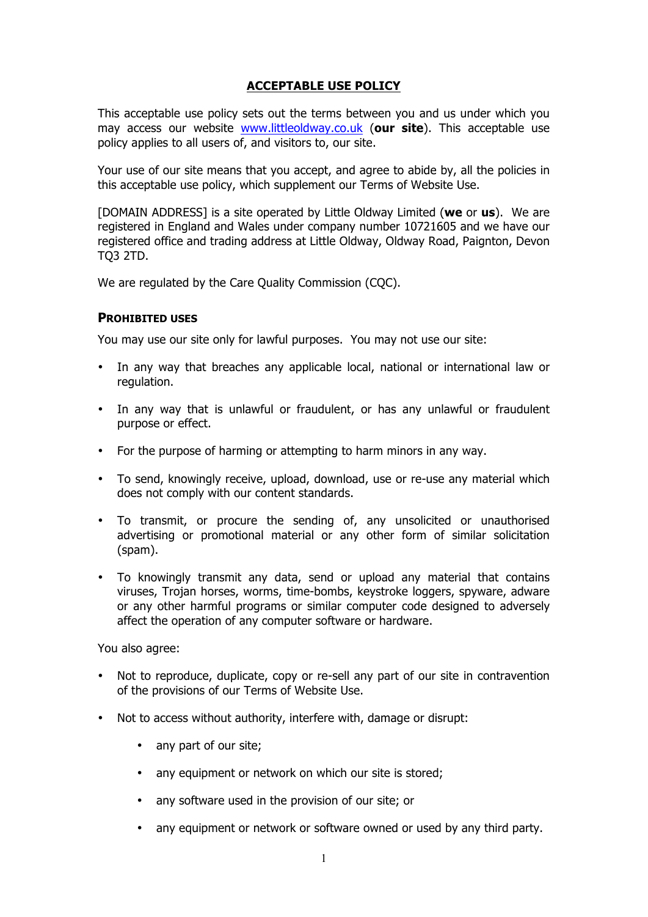# **ACCEPTABLE USE POLICY**

This acceptable use policy sets out the terms between you and us under which you may access our website www.littleoldway.co.uk (**our site**). This acceptable use policy applies to all users of, and visitors to, our site.

Your use of our site means that you accept, and agree to abide by, all the policies in this acceptable use policy, which supplement our Terms of Website Use.

[DOMAIN ADDRESS] is a site operated by Little Oldway Limited (**we** or **us**). We are registered in England and Wales under company number 10721605 and we have our registered office and trading address at Little Oldway, Oldway Road, Paignton, Devon TQ3 2TD.

We are regulated by the Care Quality Commission (CQC).

#### **PROHIBITED USES**

You may use our site only for lawful purposes. You may not use our site:

- In any way that breaches any applicable local, national or international law or regulation.
- In any way that is unlawful or fraudulent, or has any unlawful or fraudulent purpose or effect.
- For the purpose of harming or attempting to harm minors in any way.
- To send, knowingly receive, upload, download, use or re-use any material which does not comply with our content standards.
- To transmit, or procure the sending of, any unsolicited or unauthorised advertising or promotional material or any other form of similar solicitation (spam).
- To knowingly transmit any data, send or upload any material that contains viruses, Trojan horses, worms, time-bombs, keystroke loggers, spyware, adware or any other harmful programs or similar computer code designed to adversely affect the operation of any computer software or hardware.

You also agree:

- Not to reproduce, duplicate, copy or re-sell any part of our site in contravention of the provisions of our Terms of Website Use.
- Not to access without authority, interfere with, damage or disrupt:
	- any part of our site;
	- any equipment or network on which our site is stored;
	- any software used in the provision of our site; or
	- any equipment or network or software owned or used by any third party.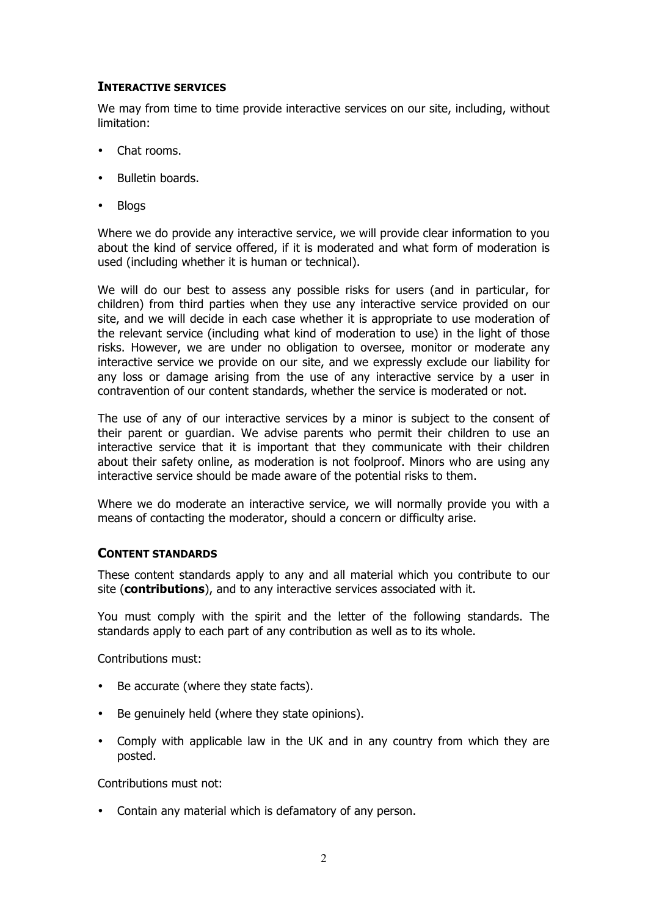# **INTERACTIVE SERVICES**

We may from time to time provide interactive services on our site, including, without limitation:

- Chat rooms.
- Bulletin boards.
- Blogs

Where we do provide any interactive service, we will provide clear information to you about the kind of service offered, if it is moderated and what form of moderation is used (including whether it is human or technical).

We will do our best to assess any possible risks for users (and in particular, for children) from third parties when they use any interactive service provided on our site, and we will decide in each case whether it is appropriate to use moderation of the relevant service (including what kind of moderation to use) in the light of those risks. However, we are under no obligation to oversee, monitor or moderate any interactive service we provide on our site, and we expressly exclude our liability for any loss or damage arising from the use of any interactive service by a user in contravention of our content standards, whether the service is moderated or not.

The use of any of our interactive services by a minor is subject to the consent of their parent or guardian. We advise parents who permit their children to use an interactive service that it is important that they communicate with their children about their safety online, as moderation is not foolproof. Minors who are using any interactive service should be made aware of the potential risks to them.

Where we do moderate an interactive service, we will normally provide you with a means of contacting the moderator, should a concern or difficulty arise.

### **CONTENT STANDARDS**

These content standards apply to any and all material which you contribute to our site (**contributions**), and to any interactive services associated with it.

You must comply with the spirit and the letter of the following standards. The standards apply to each part of any contribution as well as to its whole.

Contributions must:

- Be accurate (where they state facts).
- Be genuinely held (where they state opinions).
- Comply with applicable law in the UK and in any country from which they are posted.

Contributions must not:

• Contain any material which is defamatory of any person.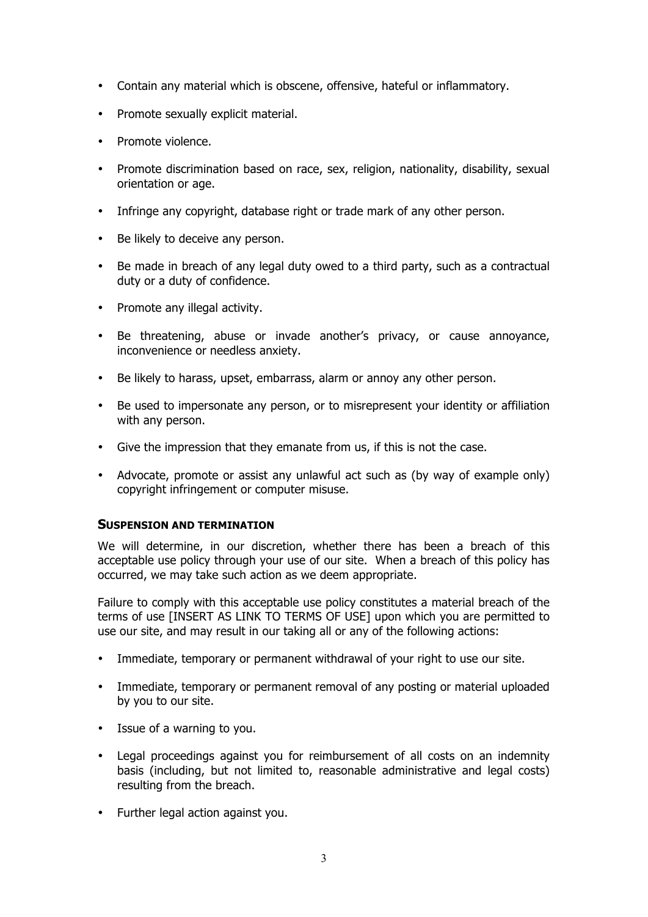- Contain any material which is obscene, offensive, hateful or inflammatory.
- Promote sexually explicit material.
- Promote violence.
- Promote discrimination based on race, sex, religion, nationality, disability, sexual orientation or age.
- Infringe any copyright, database right or trade mark of any other person.
- Be likely to deceive any person.
- Be made in breach of any legal duty owed to a third party, such as a contractual duty or a duty of confidence.
- Promote any illegal activity.
- Be threatening, abuse or invade another's privacy, or cause annoyance, inconvenience or needless anxiety.
- Be likely to harass, upset, embarrass, alarm or annoy any other person.
- Be used to impersonate any person, or to misrepresent your identity or affiliation with any person.
- Give the impression that they emanate from us, if this is not the case.
- Advocate, promote or assist any unlawful act such as (by way of example only) copyright infringement or computer misuse.

### **SUSPENSION AND TERMINATION**

We will determine, in our discretion, whether there has been a breach of this acceptable use policy through your use of our site. When a breach of this policy has occurred, we may take such action as we deem appropriate.

Failure to comply with this acceptable use policy constitutes a material breach of the terms of use [INSERT AS LINK TO TERMS OF USE] upon which you are permitted to use our site, and may result in our taking all or any of the following actions:

- Immediate, temporary or permanent withdrawal of your right to use our site.
- Immediate, temporary or permanent removal of any posting or material uploaded by you to our site.
- Issue of a warning to you.
- Legal proceedings against you for reimbursement of all costs on an indemnity basis (including, but not limited to, reasonable administrative and legal costs) resulting from the breach.
- Further legal action against you.